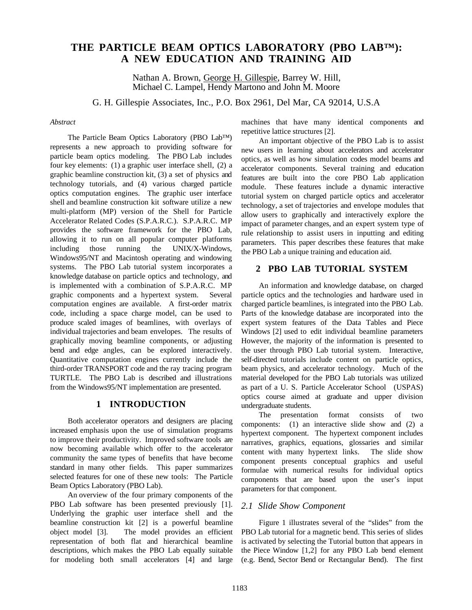# **THE PARTICLE BEAM OPTICS LABORATORY (PBO LAB™): A NEW EDUCATION AND TRAINING AID**

Nathan A. Brown, George H. Gillespie, Barrey W. Hill, Michael C. Lampel, Hendy Martono and John M. Moore

G. H. Gillespie Associates, Inc., P.O. Box 2961, Del Mar, CA 92014, U.S.A

#### *Abstract*

The Particle Beam Optics Laboratory (PBO Lab™) represents a new approach to providing software for particle beam optics modeling. The PBO Lab includes four key elements: (1) a graphic user interface shell, (2) a graphic beamline construction kit, (3) a set of physics and technology tutorials, and (4) various charged particle optics computation engines. The graphic user interface shell and beamline construction kit software utilize a new multi-platform (MP) version of the Shell for Particle Accelerator Related Codes (S.P.A.R.C.). S.P.A.R.C. MP provides the software framework for the PBO Lab, allowing it to run on all popular computer platforms including those running the UNIX/X-Windows, Windows95/NT and Macintosh operating and windowing systems. The PBO Lab tutorial system incorporates a knowledge database on particle optics and technology, and is implemented with a combination of S.P.A.R.C. MP graphic components and a hypertext system. Several computation engines are available. A first-order matrix code, including a space charge model, can be used to produce scaled images of beamlines, with overlays of individual trajectories and beam envelopes. The results of graphically moving beamline components, or adjusting bend and edge angles, can be explored interactively. Quantitative computation engines currently include the third-order TRANSPORT code and the ray tracing program TURTLE. The PBO Lab is described and illustrations from the Windows95/NT implementation are presented.

## **1 INTRODUCTION**

Both accelerator operators and designers are placing increased emphasis upon the use of simulation programs to improve their productivity. Improved software tools are now becoming available which offer to the accelerator community the same types of benefits that have become standard in many other fields. This paper summarizes selected features for one of these new tools: The Particle Beam Optics Laboratory (PBO Lab).

An overview of the four primary components of the PBO Lab software has been presented previously [1]. Underlying the graphic user interface shell and the beamline construction kit [2] is a powerful beamline object model [3]. The model provides an efficient representation of both flat and hierarchical beamline descriptions, which makes the PBO Lab equally suitable for modeling both small accelerators [4] and large machines that have many identical components and repetitive lattice structures [2].

An important objective of the PBO Lab is to assist new users in learning about accelerators and accelerator optics, as well as how simulation codes model beams and accelerator components. Several training and education features are built into the core PBO Lab application module. These features include a dynamic interactive tutorial system on charged particle optics and accelerator technology, a set of trajectories and envelope modules that allow users to graphically and interactively explore the impact of parameter changes, and an expert system type of rule relationship to assist users in inputting and editing parameters. This paper describes these features that make the PBO Lab a unique training and education aid.

### **2 PBO LAB TUTORIAL SYSTEM**

An information and knowledge database, on charged particle optics and the technologies and hardware used in charged particle beamlines, is integrated into the PBO Lab. Parts of the knowledge database are incorporated into the expert system features of the Data Tables and Piece Windows [2] used to edit individual beamline parameters However, the majority of the information is presented to the user through PBO Lab tutorial system. Interactive, self-directed tutorials include content on particle optics, beam physics, and accelerator technology. Much of the material developed for the PBO Lab tutorials was utilized as part of a U. S. Particle Accelerator School (USPAS) optics course aimed at graduate and upper division undergraduate students.

The presentation format consists of two components: (1) an interactive slide show and (2) a hypertext component. The hypertext component includes narratives, graphics, equations, glossaries and similar content with many hypertext links. The slide show component presents conceptual graphics and useful formulae with numerical results for individual optics components that are based upon the user's input parameters for that component.

#### *2.1 Slide Show Component*

Figure 1 illustrates several of the "slides" from the PBO Lab tutorial for a magnetic bend. This series of slides is activated by selecting the Tutorial button that appears in the Piece Window [1,2] for any PBO Lab bend element (e.g. Bend, Sector Bend or Rectangular Bend). The first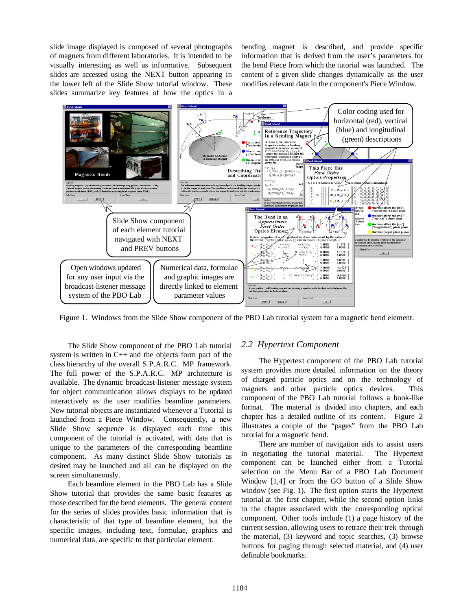slide image displayed is composed of several photographs of magnets from different laboratories. It is intended to be visually interesting as well as informative. Subsequent slides are accessed using the NEXT button appearing in the lower left of the Slide Show tutorial window. These slides summarize key features of how the optics in a bending magnet is described, and provide specific information that is derived from the user's parameters for the bend Piece from which the tutorial was launched. The content of a given slide changes dynamically as the user modifies relevant data in the component's Piece Window.



Figure 1. Windows from the Slide Show component of the PBO Lab tutorial system for a magnetic bend element.

The Slide Show component of the PBO Lab tutorial system is written in C++ and the objects form part of the class hierarchy of the overall S.P.A.R.C. MP framework. The full power of the S.P.A.R.C. MP architecture is available. The dynamic broadcast-listener message system for object communication allows displays to be updated interactively as the user modifies beamline parameters. New tutorial objects are instantiated whenever a Tutorial is launched from a Piece Window. Consequently, a new Slide Show sequence is displayed each time this component of the tutorial is activated, with data that is unique to the parameters of the corresponding beamline component. As many distinct Slide Show tutorials as desired may be launched and all can be displayed on the screen simultaneously.

Each beamline element in the PBO Lab has a Slide Show tutorial that provides the same basic features as those described for the bend elements. The general content for the series of slides provides basic information that is characteristic of that type of beamline element, but the specific images, including text, formulae, graphics and numerical data, are specific to that particular element.

#### *2.2 Hypertext Component*

The Hypertext component of the PBO Lab tutorial system provides more detailed information on the theory of charged particle optics and on the technology of magnets and other particle optics devices. This component of the PBO Lab tutorial follows a book-like format. The material is divided into chapters, and each chapter has a detailed outline of its content. Figure 2 illustrates a couple of the "pages" from the PBO Lab tutorial for a magnetic bend.

There are number of navigation aids to assist users in negotiating the tutorial material. The Hypertext component can be launched either from a Tutorial selection on the Menu Bar of a PBO Lab Document Window [1,4] or from the GO button of a Slide Show window (see Fig. 1). The first option starts the Hypertext tutorial at the first chapter, while the second option links to the chapter associated with the corresponding optical component. Other tools include (1) a page history of the current session, allowing users to retrace their trek through the material, (3) keyword and topic searches, (3) browse buttons for paging through selected material, and (4) user definable bookmarks.